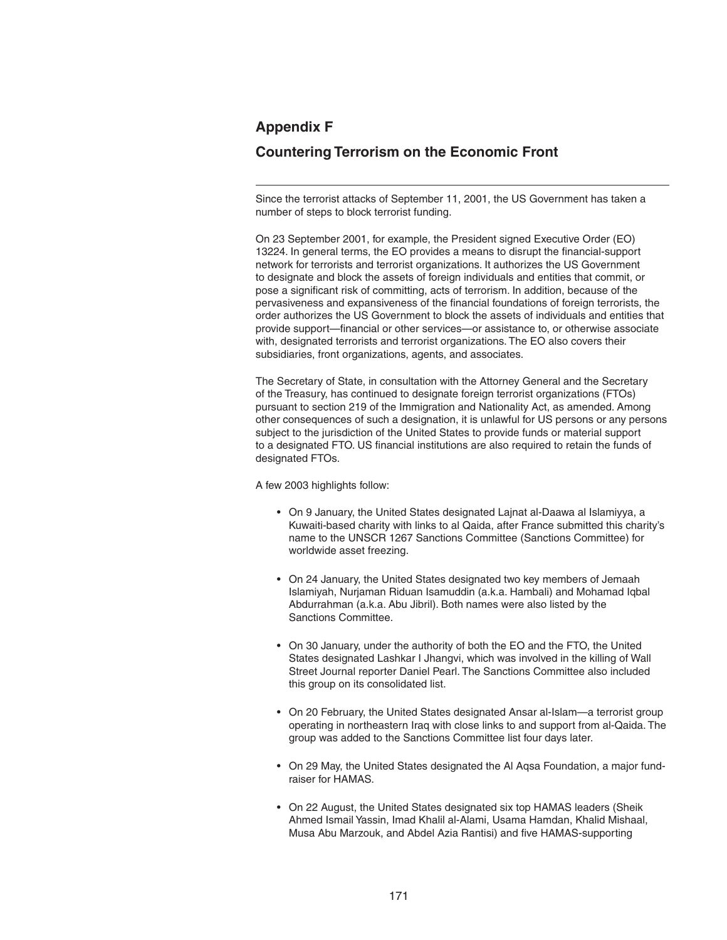## **Appendix F**

## **Countering Terrorism on the Economic Front**

Since the terrorist attacks of September 11, 2001, the US Government has taken a number of steps to block terrorist funding.

On 23 September 2001, for example, the President signed Executive Order (EO) 13224. In general terms, the EO provides a means to disrupt the financial-support network for terrorists and terrorist organizations. It authorizes the US Government to designate and block the assets of foreign individuals and entities that commit, or pose a significant risk of committing, acts of terrorism. In addition, because of the pervasiveness and expansiveness of the financial foundations of foreign terrorists, the order authorizes the US Government to block the assets of individuals and entities that provide support—financial or other services—or assistance to, or otherwise associate with, designated terrorists and terrorist organizations. The EO also covers their subsidiaries, front organizations, agents, and associates.

The Secretary of State, in consultation with the Attorney General and the Secretary of the Treasury, has continued to designate foreign terrorist organizations (FTOs) pursuant to section 219 of the Immigration and Nationality Act, as amended. Among other consequences of such a designation, it is unlawful for US persons or any persons subject to the jurisdiction of the United States to provide funds or material support to a designated FTO. US financial institutions are also required to retain the funds of designated FTOs.

A few 2003 highlights follow:

- On 9 January, the United States designated Lajnat al-Daawa al Islamiyya, a Kuwaiti-based charity with links to al Qaida, after France submitted this charity's name to the UNSCR 1267 Sanctions Committee (Sanctions Committee) for worldwide asset freezing.
- On 24 January, the United States designated two key members of Jemaah Islamiyah, Nurjaman Riduan Isamuddin (a.k.a. Hambali) and Mohamad Iqbal Abdurrahman (a.k.a. Abu Jibril). Both names were also listed by the Sanctions Committee.
- On 30 January, under the authority of both the EO and the FTO, the United States designated Lashkar I Jhangvi, which was involved in the killing of Wall Street Journal reporter Daniel Pearl. The Sanctions Committee also included this group on its consolidated list.
- On 20 February, the United States designated Ansar al-Islam—a terrorist group operating in northeastern Iraq with close links to and support from al-Qaida. The group was added to the Sanctions Committee list four days later.
- On 29 May, the United States designated the Al Aqsa Foundation, a major fund raiser for HAMAS.
- On 22 August, the United States designated six top HAMAS leaders (Sheik Ahmed Ismail Yassin, Imad Khalil al-Alami, Usama Hamdan, Khalid Mishaal, Musa Abu Marzouk, and Abdel Azia Rantisi) and five HAMAS-supporting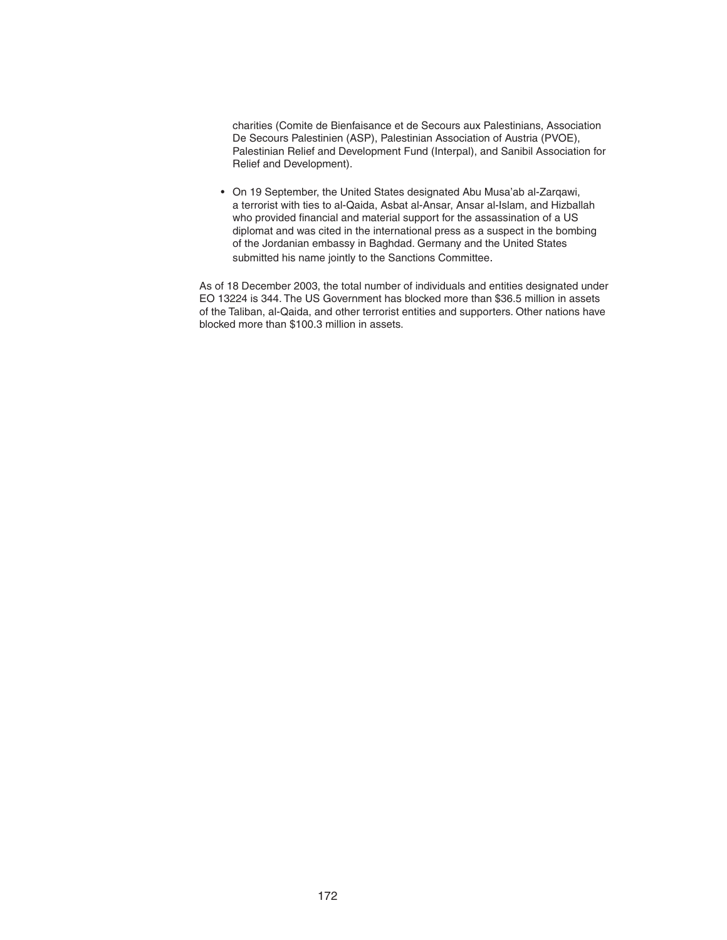charities (Comite de Bienfaisance et de Secours aux Palestinians, Association De Secours Palestinien (ASP), Palestinian Association of Austria (PVOE), Palestinian Relief and Development Fund (Interpal), and Sanibil Association for Relief and Development).

 • On 19 September, the United States designated Abu Musa'ab al-Zarqawi, a terrorist with ties to al-Qaida, Asbat al-Ansar, Ansar al-Islam, and Hizballah who provided financial and material support for the assassination of a US diplomat and was cited in the international press as a suspect in the bombing of the Jordanian embassy in Baghdad. Germany and the United States submitted his name jointly to the Sanctions Committee.

As of 18 December 2003, the total number of individuals and entities designated under EO 13224 is 344. The US Government has blocked more than \$36.5 million in assets of the Taliban, al-Qaida, and other terrorist entities and supporters. Other nations have blocked more than \$100.3 million in assets.